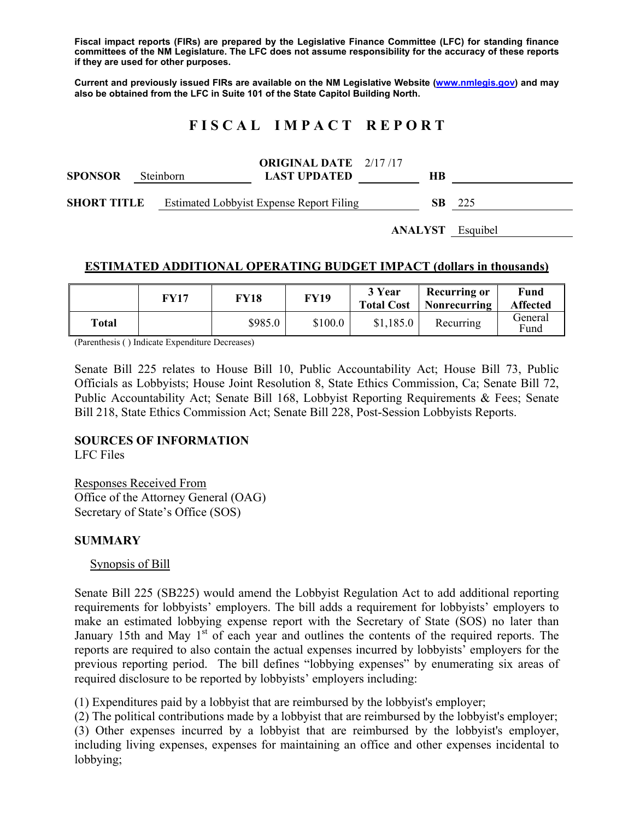**Fiscal impact reports (FIRs) are prepared by the Legislative Finance Committee (LFC) for standing finance committees of the NM Legislature. The LFC does not assume responsibility for the accuracy of these reports if they are used for other purposes.** 

**Current and previously issued FIRs are available on the NM Legislative Website (www.nmlegis.gov) and may also be obtained from the LFC in Suite 101 of the State Capitol Building North.** 

# **F I S C A L I M P A C T R E P O R T**

| <b>SPONSOR</b>                         |  | <b>ORIGINAL DATE</b> 2/17/17<br><b>LAST UPDATED</b> | HВ  |      |
|----------------------------------------|--|-----------------------------------------------------|-----|------|
| <b>Steinborn</b><br><b>SHORT TITLE</b> |  | <b>Estimated Lobbyist Expense Report Filing</b>     | SB. | -225 |

**ANALYST** Esquibel

# **ESTIMATED ADDITIONAL OPERATING BUDGET IMPACT (dollars in thousands)**

|       | FY17 | FY18    | <b>FY19</b> | 3 Year<br><b>Total Cost</b> | <b>Recurring or</b><br>Nonrecurring | Fund<br><b>Affected</b> |
|-------|------|---------|-------------|-----------------------------|-------------------------------------|-------------------------|
| Total |      | \$985.0 | \$100.0     | \$1,185.0                   | Recurring                           | General<br>Fund         |

(Parenthesis ( ) Indicate Expenditure Decreases)

Senate Bill 225 relates to House Bill 10, Public Accountability Act; House Bill 73, Public Officials as Lobbyists; House Joint Resolution 8, State Ethics Commission, Ca; Senate Bill 72, Public Accountability Act; Senate Bill 168, Lobbyist Reporting Requirements & Fees; Senate Bill 218, State Ethics Commission Act; Senate Bill 228, Post-Session Lobbyists Reports.

# **SOURCES OF INFORMATION**

LFC Files

Responses Received From Office of the Attorney General (OAG) Secretary of State's Office (SOS)

# **SUMMARY**

Synopsis of Bill

Senate Bill 225 (SB225) would amend the Lobbyist Regulation Act to add additional reporting requirements for lobbyists' employers. The bill adds a requirement for lobbyists' employers to make an estimated lobbying expense report with the Secretary of State (SOS) no later than January 15th and May  $1<sup>st</sup>$  of each year and outlines the contents of the required reports. The reports are required to also contain the actual expenses incurred by lobbyists' employers for the previous reporting period. The bill defines "lobbying expenses" by enumerating six areas of required disclosure to be reported by lobbyists' employers including:

(1) Expenditures paid by a lobbyist that are reimbursed by the lobbyist's employer;

(2) The political contributions made by a lobbyist that are reimbursed by the lobbyist's employer; (3) Other expenses incurred by a lobbyist that are reimbursed by the lobbyist's employer, including living expenses, expenses for maintaining an office and other expenses incidental to lobbying;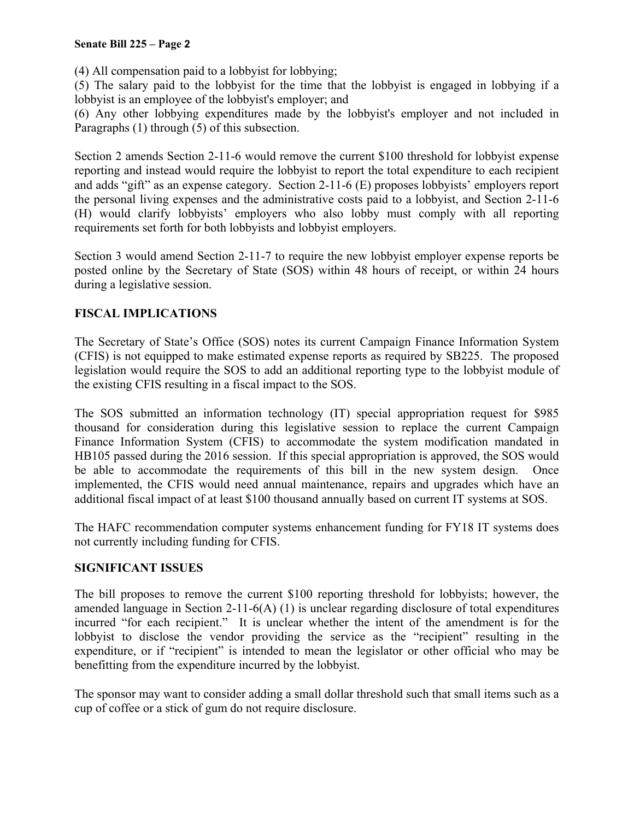#### **Senate Bill 225 – Page 2**

(4) All compensation paid to a lobbyist for lobbying;

(5) The salary paid to the lobbyist for the time that the lobbyist is engaged in lobbying if a lobbyist is an employee of the lobbyist's employer; and

(6) Any other lobbying expenditures made by the lobbyist's employer and not included in Paragraphs (1) through (5) of this subsection.

Section 2 amends Section 2-11-6 would remove the current \$100 threshold for lobbyist expense reporting and instead would require the lobbyist to report the total expenditure to each recipient and adds "gift" as an expense category. Section 2-11-6 (E) proposes lobbyists' employers report the personal living expenses and the administrative costs paid to a lobbyist, and Section 2-11-6 (H) would clarify lobbyists' employers who also lobby must comply with all reporting requirements set forth for both lobbyists and lobbyist employers.

Section 3 would amend Section 2-11-7 to require the new lobbyist employer expense reports be posted online by the Secretary of State (SOS) within 48 hours of receipt, or within 24 hours during a legislative session.

# **FISCAL IMPLICATIONS**

The Secretary of State's Office (SOS) notes its current Campaign Finance Information System (CFIS) is not equipped to make estimated expense reports as required by SB225. The proposed legislation would require the SOS to add an additional reporting type to the lobbyist module of the existing CFIS resulting in a fiscal impact to the SOS.

The SOS submitted an information technology (IT) special appropriation request for \$985 thousand for consideration during this legislative session to replace the current Campaign Finance Information System (CFIS) to accommodate the system modification mandated in HB105 passed during the 2016 session. If this special appropriation is approved, the SOS would be able to accommodate the requirements of this bill in the new system design. Once implemented, the CFIS would need annual maintenance, repairs and upgrades which have an additional fiscal impact of at least \$100 thousand annually based on current IT systems at SOS.

The HAFC recommendation computer systems enhancement funding for FY18 IT systems does not currently including funding for CFIS.

# **SIGNIFICANT ISSUES**

The bill proposes to remove the current \$100 reporting threshold for lobbyists; however, the amended language in Section 2-11-6(A) (1) is unclear regarding disclosure of total expenditures incurred "for each recipient." It is unclear whether the intent of the amendment is for the lobbyist to disclose the vendor providing the service as the "recipient" resulting in the expenditure, or if "recipient" is intended to mean the legislator or other official who may be benefitting from the expenditure incurred by the lobbyist.

The sponsor may want to consider adding a small dollar threshold such that small items such as a cup of coffee or a stick of gum do not require disclosure.